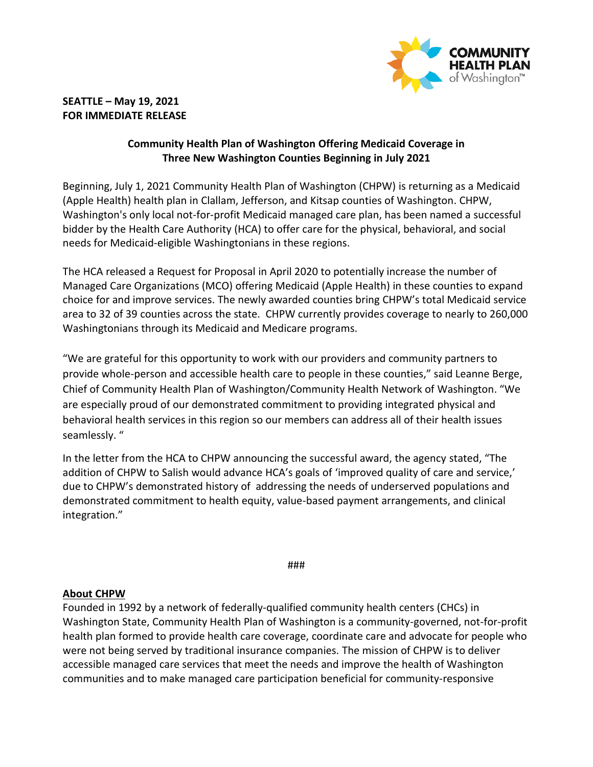

## **SEATTLE – May 19, 2021 FOR IMMEDIATE RELEASE**

## **Community Health Plan of Washington Offering Medicaid Coverage in Three New Washington Counties Beginning in July 2021**

Beginning, July 1, 2021 Community Health Plan of Washington (CHPW) is returning as a Medicaid (Apple Health) health plan in Clallam, Jefferson, and Kitsap counties of Washington. CHPW, Washington's only local not-for-profit Medicaid managed care plan, has been named a successful bidder by the Health Care Authority (HCA) to offer care for the physical, behavioral, and social needs for Medicaid-eligible Washingtonians in these regions.

The HCA released a Request for Proposal in April 2020 to potentially increase the number of Managed Care Organizations (MCO) offering Medicaid (Apple Health) in these counties to expand choice for and improve services. The newly awarded counties bring CHPW's total Medicaid service area to 32 of 39 counties across the state. CHPW currently provides coverage to nearly to 260,000 Washingtonians through its Medicaid and Medicare programs.

"We are grateful for this opportunity to work with our providers and community partners to provide whole-person and accessible health care to people in these counties," said Leanne Berge, Chief of Community Health Plan of Washington/Community Health Network of Washington. "We are especially proud of our demonstrated commitment to providing integrated physical and behavioral health services in this region so our members can address all of their health issues seamlessly. "

In the letter from the HCA to CHPW announcing the successful award, the agency stated, "The addition of CHPW to Salish would advance HCA's goals of 'improved quality of care and service,' due to CHPW's demonstrated history of addressing the needs of underserved populations and demonstrated commitment to health equity, value-based payment arrangements, and clinical integration."

###

## **About CHPW**

Founded in 1992 by a network of federally-qualified community health centers (CHCs) in Washington State, Community Health Plan of Washington is a community-governed, not-for-profit health plan formed to provide health care coverage, coordinate care and advocate for people who were not being served by traditional insurance companies. The mission of CHPW is to deliver accessible managed care services that meet the needs and improve the health of Washington communities and to make managed care participation beneficial for community-responsive